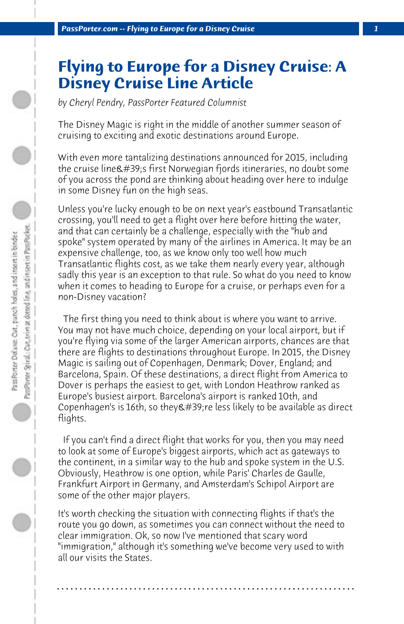## **Flying to Europe for a Disney Cruise: A Disney Cruise Line Article**

*by Cheryl Pendry, PassPorter Featured Columnist*

The Disney Magic is right in the middle of another summer season of cruising to exciting and exotic destinations around Europe.

With even more tantalizing destinations announced for 2015, including the cruise line's first Norwegian fjords itineraries, no doubt some of you across the pond are thinking about heading over here to indulge in some Disney fun on the high seas.

Unless you're lucky enough to be on next year's eastbound Transatlantic crossing, you'll need to get a flight over here before hitting the water, and that can certainly be a challenge, especially with the "hub and spoke" system operated by many of the airlines in America. It may be an expensive challenge, too, as we know only too well how much Transatlantic flights cost, as we take them nearly every year, although sadly this year is an exception to that rule. So what do you need to know when it comes to heading to Europe for a cruise, or perhaps even for a non-Disney vacation?

 The first thing you need to think about is where you want to arrive. You may not have much choice, depending on your local airport, but if you're flying via some of the larger American airports, chances are that there are flights to destinations throughout Europe. In 2015, the Disney Magic is sailing out of Copenhagen, Denmark; Dover, England; and Barcelona, Spain. Of these destinations, a direct flight from America to Dover is perhaps the easiest to get, with London Heathrow ranked as Europe's busiest airport. Barcelona's airport is ranked 10th, and Copenhagen's is 16th, so they &  $#39$ ; re less likely to be available as direct flights.

 If you can't find a direct flight that works for you, then you may need to look at some of Europe's biggest airports, which act as gateways to the continent, in a similar way to the hub and spoke system in the U.S. Obviously, Heathrow is one option, while Paris' Charles de Gaulle, Frankfurt Airport in Germany, and Amsterdam's Schipol Airport are some of the other major players.

It's worth checking the situation with connecting flights if that's the route you go down, as sometimes you can connect without the need to clear immigration. Ok, so now I've mentioned that scary word "immigration," although it's something we've become very used to with all our visits the States.

**. . . . . . . . . . . . . . . . . . . . . . . . . . . . . . . . . . . . . . . . . . . . . . . . . . . . . . . . . . . . . . . . . .**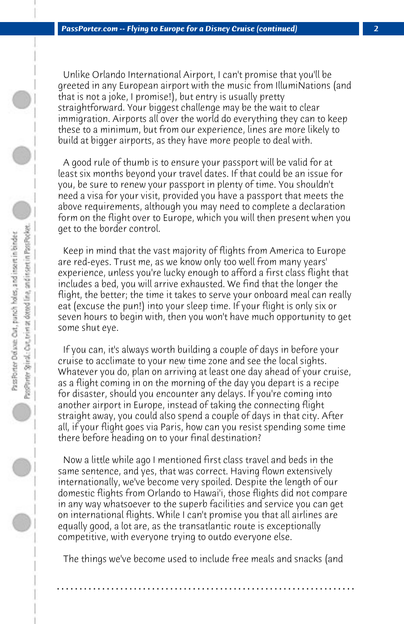Unlike Orlando International Airport, I can't promise that you'll be greeted in any European airport with the music from IllumiNations (and that is not a joke, I promise!), but entry is usually pretty straightforward. Your biggest challenge may be the wait to clear immigration. Airports all over the world do everything they can to keep these to a minimum, but from our experience, lines are more likely to build at bigger airports, as they have more people to deal with.

 A good rule of thumb is to ensure your passport will be valid for at least six months beyond your travel dates. If that could be an issue for you, be sure to renew your passport in plenty of time. You shouldn't need a visa for your visit, provided you have a passport that meets the above requirements, although you may need to complete a declaration form on the flight over to Europe, which you will then present when you get to the border control.

 Keep in mind that the vast majority of flights from America to Europe are red-eyes. Trust me, as we know only too well from many years' experience, unless you're lucky enough to afford a first class flight that includes a bed, you will arrive exhausted. We find that the longer the flight, the better; the time it takes to serve your onboard meal can really eat (excuse the pun!) into your sleep time. If your flight is only six or seven hours to begin with, then you won't have much opportunity to get some shut eye.

 If you can, it's always worth building a couple of days in before your cruise to acclimate to your new time zone and see the local sights. Whatever you do, plan on arriving at least one day ahead of your cruise, as a flight coming in on the morning of the day you depart is a recipe for disaster, should you encounter any delays. If you're coming into another airport in Europe, instead of taking the connecting flight straight away, you could also spend a couple of days in that city. After all, if your flight goes via Paris, how can you resist spending some time there before heading on to your final destination?

 Now a little while ago I mentioned first class travel and beds in the same sentence, and yes, that was correct. Having flown extensively internationally, we've become very spoiled. Despite the length of our domestic flights from Orlando to Hawai'i, those flights did not compare in any way whatsoever to the superb facilities and service you can get on international flights. While I can't promise you that all airlines are equally good, a lot are, as the transatlantic route is exceptionally competitive, with everyone trying to outdo everyone else.

 The things we've become used to include free meals and snacks (and

**. . . . . . . . . . . . . . . . . . . . . . . . . . . . . . . . . . . . . . . . . . . . . . . . . . . . . . . . . . . . . . . . . .**